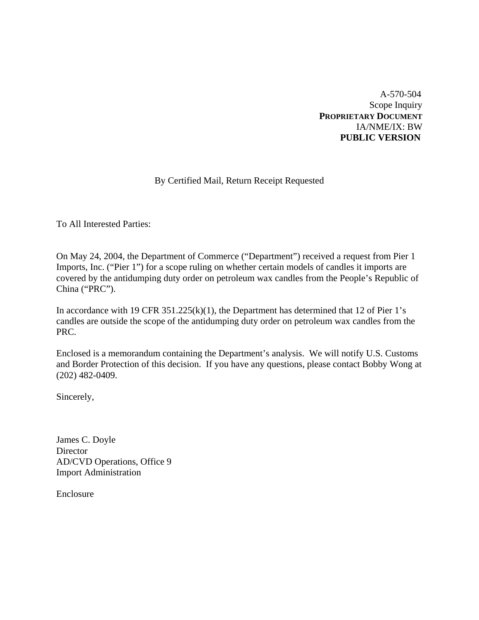A-570-504 Scope Inquiry **PROPRIETARY DOCUMENT** IA/NME/IX: BW **PUBLIC VERSION** 

# By Certified Mail, Return Receipt Requested

To All Interested Parties:

On May 24, 2004, the Department of Commerce ("Department") received a request from Pier 1 Imports, Inc. ("Pier 1") for a scope ruling on whether certain models of candles it imports are covered by the antidumping duty order on petroleum wax candles from the People's Republic of China ("PRC").

In accordance with 19 CFR 351.225(k)(1), the Department has determined that 12 of Pier 1's candles are outside the scope of the antidumping duty order on petroleum wax candles from the PRC.

Enclosed is a memorandum containing the Department's analysis. We will notify U.S. Customs and Border Protection of this decision. If you have any questions, please contact Bobby Wong at (202) 482-0409.

Sincerely,

James C. Doyle **Director** AD/CVD Operations, Office 9 Import Administration

Enclosure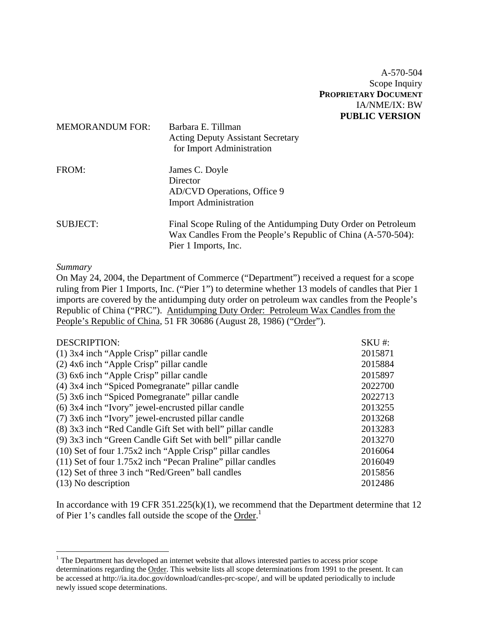A-570-504 Scope Inquiry **PROPRIETARY DOCUMENT** IA/NME/IX: BW **PUBLIC VERSION** 

| <b>MEMORANDUM FOR:</b> | Barbara E. Tillman<br><b>Acting Deputy Assistant Secretary</b><br>for Import Administration                                                           |
|------------------------|-------------------------------------------------------------------------------------------------------------------------------------------------------|
| FROM:                  | James C. Doyle<br>Director<br>AD/CVD Operations, Office 9<br><b>Import Administration</b>                                                             |
| <b>SUBJECT:</b>        | Final Scope Ruling of the Antidumping Duty Order on Petroleum<br>Wax Candles From the People's Republic of China (A-570-504):<br>Pier 1 Imports, Inc. |

## *Summary*

 $\overline{a}$ 

On May 24, 2004, the Department of Commerce ("Department") received a request for a scope ruling from Pier 1 Imports, Inc. ("Pier 1") to determine whether 13 models of candles that Pier 1 imports are covered by the antidumping duty order on petroleum wax candles from the People's Republic of China ("PRC"). Antidumping Duty Order: Petroleum Wax Candles from the People's Republic of China, 51 FR 30686 (August 28, 1986) ("Order").

| <b>DESCRIPTION:</b>                                           | $SKU#$ : |
|---------------------------------------------------------------|----------|
| $(1)$ 3x4 inch "Apple Crisp" pillar candle                    | 2015871  |
| $(2)$ 4x6 inch "Apple Crisp" pillar candle                    | 2015884  |
| (3) 6x6 inch "Apple Crisp" pillar candle                      | 2015897  |
| (4) 3x4 inch "Spiced Pomegranate" pillar candle               | 2022700  |
| (5) 3x6 inch "Spiced Pomegranate" pillar candle               | 2022713  |
| (6) 3x4 inch "Ivory" jewel-encrusted pillar candle            | 2013255  |
| (7) 3x6 inch "Ivory" jewel-encrusted pillar candle            | 2013268  |
| (8) 3x3 inch "Red Candle Gift Set with bell" pillar candle    | 2013283  |
| (9) 3x3 inch "Green Candle Gift Set with bell" pillar candle  | 2013270  |
| $(10)$ Set of four 1.75x2 inch "Apple Crisp" pillar candles   | 2016064  |
| $(11)$ Set of four 1.75x2 inch "Pecan Praline" pillar candles | 2016049  |
| (12) Set of three 3 inch "Red/Green" ball candles             | 2015856  |
| $(13)$ No description                                         | 2012486  |

In accordance with 19 CFR 351.225(k)(1), we recommend that the Department determine that 12 of Pier 1's candles fall outside the scope of the Order.<sup>1</sup>

 $<sup>1</sup>$  The Department has developed an internet website that allows interested parties to access prior scope</sup> determinations regarding the Order. This website lists all scope determinations from 1991 to the present. It can be accessed at http://ia.ita.doc.gov/download/candles-prc-scope/, and will be updated periodically to include newly issued scope determinations.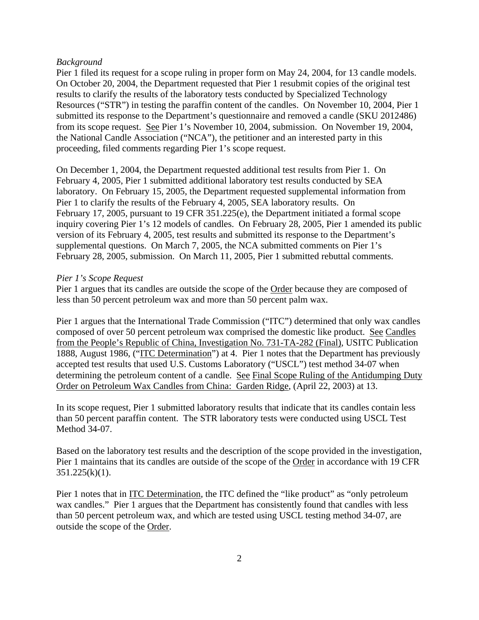## *Background*

Pier 1 filed its request for a scope ruling in proper form on May 24, 2004, for 13 candle models. On October 20, 2004, the Department requested that Pier 1 resubmit copies of the original test results to clarify the results of the laboratory tests conducted by Specialized Technology Resources ("STR") in testing the paraffin content of the candles. On November 10, 2004, Pier 1 submitted its response to the Department's questionnaire and removed a candle (SKU 2012486) from its scope request. See Pier 1's November 10, 2004, submission. On November 19, 2004, the National Candle Association ("NCA"), the petitioner and an interested party in this proceeding, filed comments regarding Pier 1's scope request.

On December 1, 2004, the Department requested additional test results from Pier 1. On February 4, 2005, Pier 1 submitted additional laboratory test results conducted by SEA laboratory. On February 15, 2005, the Department requested supplemental information from Pier 1 to clarify the results of the February 4, 2005, SEA laboratory results. On February 17, 2005, pursuant to 19 CFR 351.225(e), the Department initiated a formal scope inquiry covering Pier 1's 12 models of candles. On February 28, 2005, Pier 1 amended its public version of its February 4, 2005, test results and submitted its response to the Department's supplemental questions. On March 7, 2005, the NCA submitted comments on Pier 1's February 28, 2005, submission. On March 11, 2005, Pier 1 submitted rebuttal comments.

## *Pier 1's Scope Request*

Pier 1 argues that its candles are outside the scope of the Order because they are composed of less than 50 percent petroleum wax and more than 50 percent palm wax.

Pier 1 argues that the International Trade Commission ("ITC") determined that only wax candles composed of over 50 percent petroleum wax comprised the domestic like product. See Candles from the People's Republic of China, Investigation No. 731-TA-282 (Final), USITC Publication 1888, August 1986, ("ITC Determination") at 4. Pier 1 notes that the Department has previously accepted test results that used U.S. Customs Laboratory ("USCL") test method 34-07 when determining the petroleum content of a candle. See Final Scope Ruling of the Antidumping Duty Order on Petroleum Wax Candles from China: Garden Ridge, (April 22, 2003) at 13.

In its scope request, Pier 1 submitted laboratory results that indicate that its candles contain less than 50 percent paraffin content. The STR laboratory tests were conducted using USCL Test Method 34-07.

Based on the laboratory test results and the description of the scope provided in the investigation, Pier 1 maintains that its candles are outside of the scope of the Order in accordance with 19 CFR  $351.225(k)(1)$ .

Pier 1 notes that in ITC Determination, the ITC defined the "like product" as "only petroleum wax candles." Pier 1 argues that the Department has consistently found that candles with less than 50 percent petroleum wax, and which are tested using USCL testing method 34-07, are outside the scope of the Order.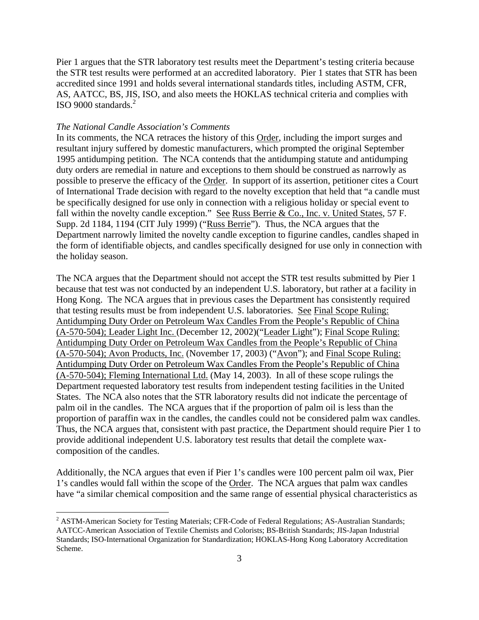Pier 1 argues that the STR laboratory test results meet the Department's testing criteria because the STR test results were performed at an accredited laboratory. Pier 1 states that STR has been accredited since 1991 and holds several international standards titles, including ASTM, CFR, AS, AATCC, BS, JIS, ISO, and also meets the HOKLAS technical criteria and complies with ISO 9000 standards.<sup>2</sup>

## *The National Candle Association's Comments*

In its comments, the NCA retraces the history of this Order, including the import surges and resultant injury suffered by domestic manufacturers, which prompted the original September 1995 antidumping petition. The NCA contends that the antidumping statute and antidumping duty orders are remedial in nature and exceptions to them should be construed as narrowly as possible to preserve the efficacy of the Order. In support of its assertion, petitioner cites a Court of International Trade decision with regard to the novelty exception that held that "a candle must be specifically designed for use only in connection with a religious holiday or special event to fall within the novelty candle exception." See Russ Berrie & Co., Inc. v. United States, 57 F. Supp. 2d 1184, 1194 (CIT July 1999) ("Russ Berrie"). Thus, the NCA argues that the Department narrowly limited the novelty candle exception to figurine candles, candles shaped in the form of identifiable objects, and candles specifically designed for use only in connection with the holiday season.

The NCA argues that the Department should not accept the STR test results submitted by Pier 1 because that test was not conducted by an independent U.S. laboratory, but rather at a facility in Hong Kong. The NCA argues that in previous cases the Department has consistently required that testing results must be from independent U.S. laboratories. See Final Scope Ruling: Antidumping Duty Order on Petroleum Wax Candles From the People's Republic of China (A-570-504); Leader Light Inc. (December 12, 2002)("Leader Light"); Final Scope Ruling: Antidumping Duty Order on Petroleum Wax Candles from the People's Republic of China (A-570-504); Avon Products, Inc. (November 17, 2003) ("Avon"); and Final Scope Ruling: Antidumping Duty Order on Petroleum Wax Candles From the People's Republic of China (A-570-504); Fleming International Ltd. (May 14, 2003). In all of these scope rulings the Department requested laboratory test results from independent testing facilities in the United States. The NCA also notes that the STR laboratory results did not indicate the percentage of palm oil in the candles. The NCA argues that if the proportion of palm oil is less than the proportion of paraffin wax in the candles, the candles could not be considered palm wax candles. Thus, the NCA argues that, consistent with past practice, the Department should require Pier 1 to provide additional independent U.S. laboratory test results that detail the complete waxcomposition of the candles.

Additionally, the NCA argues that even if Pier 1's candles were 100 percent palm oil wax, Pier 1's candles would fall within the scope of the Order. The NCA argues that palm wax candles have "a similar chemical composition and the same range of essential physical characteristics as

<sup>&</sup>lt;sup>2</sup> ASTM-American Society for Testing Materials; CFR-Code of Federal Regulations; AS-Australian Standards; AATCC-American Association of Textile Chemists and Colorists; BS-British Standards; JIS-Japan Industrial Standards; ISO-International Organization for Standardization; HOKLAS-Hong Kong Laboratory Accreditation Scheme.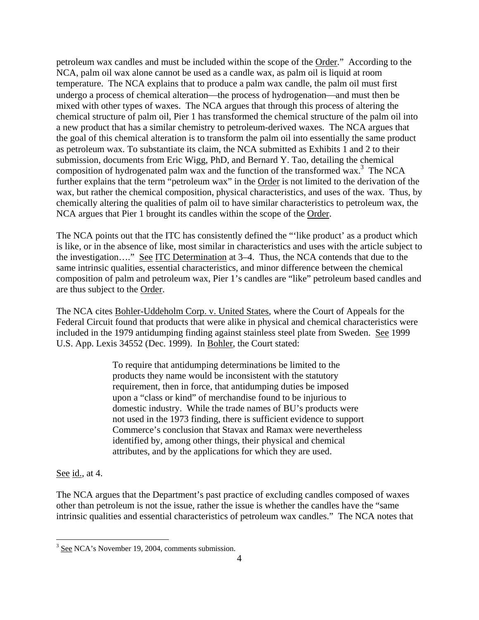petroleum wax candles and must be included within the scope of the Order." According to the NCA, palm oil wax alone cannot be used as a candle wax, as palm oil is liquid at room temperature. The NCA explains that to produce a palm wax candle, the palm oil must first undergo a process of chemical alteration—the process of hydrogenation—and must then be mixed with other types of waxes. The NCA argues that through this process of altering the chemical structure of palm oil, Pier 1 has transformed the chemical structure of the palm oil into a new product that has a similar chemistry to petroleum-derived waxes. The NCA argues that the goal of this chemical alteration is to transform the palm oil into essentially the same product as petroleum wax. To substantiate its claim, the NCA submitted as Exhibits 1 and 2 to their submission, documents from Eric Wigg, PhD, and Bernard Y. Tao, detailing the chemical composition of hydrogenated palm wax and the function of the transformed wax.<sup>3</sup> The NCA further explains that the term "petroleum wax" in the Order is not limited to the derivation of the wax, but rather the chemical composition, physical characteristics, and uses of the wax. Thus, by chemically altering the qualities of palm oil to have similar characteristics to petroleum wax, the NCA argues that Pier 1 brought its candles within the scope of the Order.

The NCA points out that the ITC has consistently defined the "'like product' as a product which is like, or in the absence of like, most similar in characteristics and uses with the article subject to the investigation…." See ITC Determination at 3–4. Thus, the NCA contends that due to the same intrinsic qualities, essential characteristics, and minor difference between the chemical composition of palm and petroleum wax, Pier 1's candles are "like" petroleum based candles and are thus subject to the Order.

The NCA cites Bohler-Uddeholm Corp. v. United States, where the Court of Appeals for the Federal Circuit found that products that were alike in physical and chemical characteristics were included in the 1979 antidumping finding against stainless steel plate from Sweden. See 1999 U.S. App. Lexis 34552 (Dec. 1999). In Bohler, the Court stated:

> To require that antidumping determinations be limited to the products they name would be inconsistent with the statutory requirement, then in force, that antidumping duties be imposed upon a "class or kind" of merchandise found to be injurious to domestic industry. While the trade names of BU's products were not used in the 1973 finding, there is sufficient evidence to support Commerce's conclusion that Stavax and Ramax were nevertheless identified by, among other things, their physical and chemical attributes, and by the applications for which they are used.

See id., at 4.

The NCA argues that the Department's past practice of excluding candles composed of waxes other than petroleum is not the issue, rather the issue is whether the candles have the "same intrinsic qualities and essential characteristics of petroleum wax candles." The NCA notes that

<sup>&</sup>lt;sup>3</sup> See NCA's November 19, 2004, comments submission.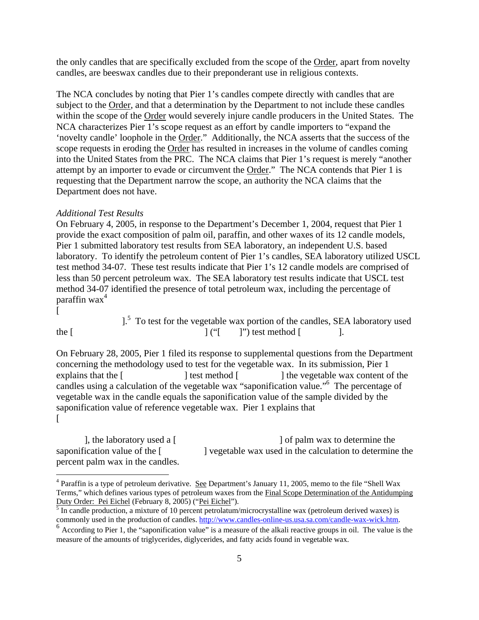the only candles that are specifically excluded from the scope of the Order, apart from novelty candles, are beeswax candles due to their preponderant use in religious contexts.

The NCA concludes by noting that Pier 1's candles compete directly with candles that are subject to the Order, and that a determination by the Department to not include these candles within the scope of the Order would severely injure candle producers in the United States. The NCA characterizes Pier 1's scope request as an effort by candle importers to "expand the 'novelty candle' loophole in the Order." Additionally, the NCA asserts that the success of the scope requests in eroding the Order has resulted in increases in the volume of candles coming into the United States from the PRC. The NCA claims that Pier 1's request is merely "another attempt by an importer to evade or circumvent the Order." The NCA contends that Pier 1 is requesting that the Department narrow the scope, an authority the NCA claims that the Department does not have.

#### *Additional Test Results*

On February 4, 2005, in response to the Department's December 1, 2004, request that Pier 1 provide the exact composition of palm oil, paraffin, and other waxes of its 12 candle models, Pier 1 submitted laboratory test results from SEA laboratory, an independent U.S. based laboratory. To identify the petroleum content of Pier 1's candles, SEA laboratory utilized USCL test method 34-07. These test results indicate that Pier 1's 12 candle models are comprised of less than 50 percent petroleum wax. The SEA laboratory test results indicate that USCL test method 34-07 identified the presence of total petroleum wax, including the percentage of paraffin wax $4$ 

 $[$ 

 $\overline{a}$ 

 $\frac{1}{5}$  To test for the vegetable wax portion of the candles, SEA laboratory used the  $[$  [  $'$   $]$   $''$ ] test method  $[$   $]$ .

On February 28, 2005, Pier 1 filed its response to supplemental questions from the Department concerning the methodology used to test for the vegetable wax. In its submission, Pier 1 explains that the  $\lceil$   $\rceil$  test method  $\lceil$   $\rceil$  the vegetable wax content of the candles using a calculation of the vegetable wax "saponification value."6 The percentage of vegetable wax in the candle equals the saponification value of the sample divided by the saponification value of reference vegetable wax. Pier 1 explains that  $[$   $\blacksquare$ 

], the laboratory used a  $\lceil$   $\rceil$  of palm wax to determine the saponification value of the  $\lceil$   $\rceil$  vegetable wax used in the calculation to determine the percent palm wax in the candles.

<sup>&</sup>lt;sup>4</sup> Paraffin is a type of petroleum derivative. See Department's January 11, 2005, memo to the file "Shell Wax Terms," which defines various types of petroleum waxes from the Final Scope Determination of the Antidumping Duty Order: Pei Eichel (February 8, 2005) ("Pei Eichel").<br><sup>5</sup> In candle production, a mixture of 10 percent petrolatum/microcrystalline wax (petroleum derived waxes) is

commonly used in the production of candles. http://www.candles-online-us.usa.sa.com/candle-wax-wick.htm. <sup>6</sup> According to Pier 1, the "saponification value" is a measure of the alkali reactive groups in oil. The value is t

measure of the amounts of triglycerides, diglycerides, and fatty acids found in vegetable wax.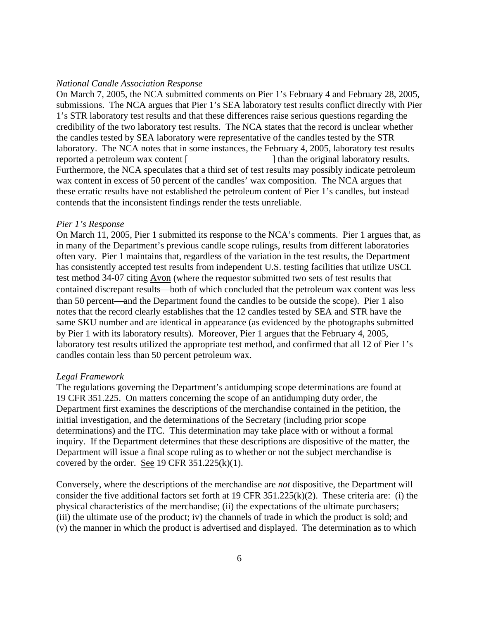#### *National Candle Association Response*

On March 7, 2005, the NCA submitted comments on Pier 1's February 4 and February 28, 2005, submissions. The NCA argues that Pier 1's SEA laboratory test results conflict directly with Pier 1's STR laboratory test results and that these differences raise serious questions regarding the credibility of the two laboratory test results. The NCA states that the record is unclear whether the candles tested by SEA laboratory were representative of the candles tested by the STR laboratory. The NCA notes that in some instances, the February 4, 2005, laboratory test results reported a petroleum wax content [\*\*\*\*\*\*\*\*\*\*\*\*\*\*\*\*\*\*] than the original laboratory results. Furthermore, the NCA speculates that a third set of test results may possibly indicate petroleum wax content in excess of 50 percent of the candles' wax composition. The NCA argues that these erratic results have not established the petroleum content of Pier 1's candles, but instead contends that the inconsistent findings render the tests unreliable.

#### *Pier 1's Response*

On March 11, 2005, Pier 1 submitted its response to the NCA's comments. Pier 1 argues that, as in many of the Department's previous candle scope rulings, results from different laboratories often vary. Pier 1 maintains that, regardless of the variation in the test results, the Department has consistently accepted test results from independent U.S. testing facilities that utilize USCL test method 34-07 citing Avon (where the requestor submitted two sets of test results that contained discrepant results—both of which concluded that the petroleum wax content was less than 50 percent—and the Department found the candles to be outside the scope). Pier 1 also notes that the record clearly establishes that the 12 candles tested by SEA and STR have the same SKU number and are identical in appearance (as evidenced by the photographs submitted by Pier 1 with its laboratory results). Moreover, Pier 1 argues that the February 4, 2005, laboratory test results utilized the appropriate test method, and confirmed that all 12 of Pier 1's candles contain less than 50 percent petroleum wax.

### *Legal Framework*

The regulations governing the Department's antidumping scope determinations are found at 19 CFR 351.225. On matters concerning the scope of an antidumping duty order, the Department first examines the descriptions of the merchandise contained in the petition, the initial investigation, and the determinations of the Secretary (including prior scope determinations) and the ITC. This determination may take place with or without a formal inquiry. If the Department determines that these descriptions are dispositive of the matter, the Department will issue a final scope ruling as to whether or not the subject merchandise is covered by the order. See 19 CFR  $351.225(k)(1)$ .

Conversely, where the descriptions of the merchandise are *not* dispositive, the Department will consider the five additional factors set forth at 19 CFR 351.225(k)(2). These criteria are: (i) the physical characteristics of the merchandise; (ii) the expectations of the ultimate purchasers; (iii) the ultimate use of the product; iv) the channels of trade in which the product is sold; and (v) the manner in which the product is advertised and displayed. The determination as to which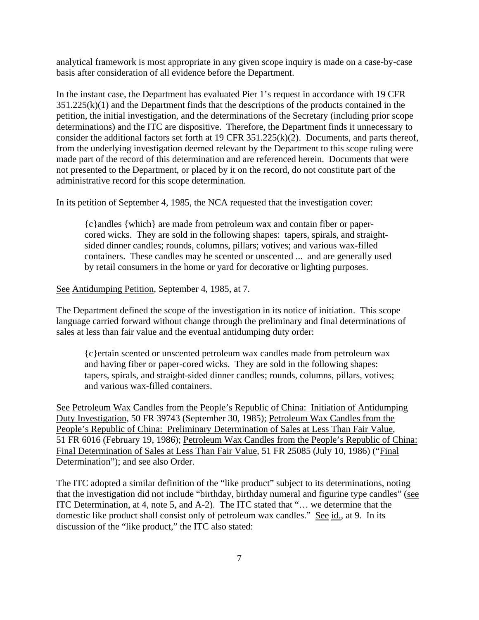analytical framework is most appropriate in any given scope inquiry is made on a case-by-case basis after consideration of all evidence before the Department.

In the instant case, the Department has evaluated Pier 1's request in accordance with 19 CFR  $351.225(k)(1)$  and the Department finds that the descriptions of the products contained in the petition, the initial investigation, and the determinations of the Secretary (including prior scope determinations) and the ITC are dispositive. Therefore, the Department finds it unnecessary to consider the additional factors set forth at 19 CFR 351.225(k)(2). Documents, and parts thereof, from the underlying investigation deemed relevant by the Department to this scope ruling were made part of the record of this determination and are referenced herein. Documents that were not presented to the Department, or placed by it on the record, do not constitute part of the administrative record for this scope determination.

In its petition of September 4, 1985, the NCA requested that the investigation cover:

{c}andles {which} are made from petroleum wax and contain fiber or papercored wicks. They are sold in the following shapes: tapers, spirals, and straightsided dinner candles; rounds, columns, pillars; votives; and various wax-filled containers. These candles may be scented or unscented ... and are generally used by retail consumers in the home or yard for decorative or lighting purposes.

## See Antidumping Petition, September 4, 1985, at 7.

The Department defined the scope of the investigation in its notice of initiation. This scope language carried forward without change through the preliminary and final determinations of sales at less than fair value and the eventual antidumping duty order:

{c}ertain scented or unscented petroleum wax candles made from petroleum wax and having fiber or paper-cored wicks. They are sold in the following shapes: tapers, spirals, and straight-sided dinner candles; rounds, columns, pillars, votives; and various wax-filled containers.

See Petroleum Wax Candles from the People's Republic of China: Initiation of Antidumping Duty Investigation, 50 FR 39743 (September 30, 1985); Petroleum Wax Candles from the People's Republic of China: Preliminary Determination of Sales at Less Than Fair Value, 51 FR 6016 (February 19, 1986); Petroleum Wax Candles from the People's Republic of China: Final Determination of Sales at Less Than Fair Value, 51 FR 25085 (July 10, 1986) ("Final Determination"); and see also Order.

The ITC adopted a similar definition of the "like product" subject to its determinations, noting that the investigation did not include "birthday, birthday numeral and figurine type candles" (see ITC Determination, at 4, note 5, and A-2). The ITC stated that "… we determine that the domestic like product shall consist only of petroleum wax candles." See id., at 9. In its discussion of the "like product," the ITC also stated: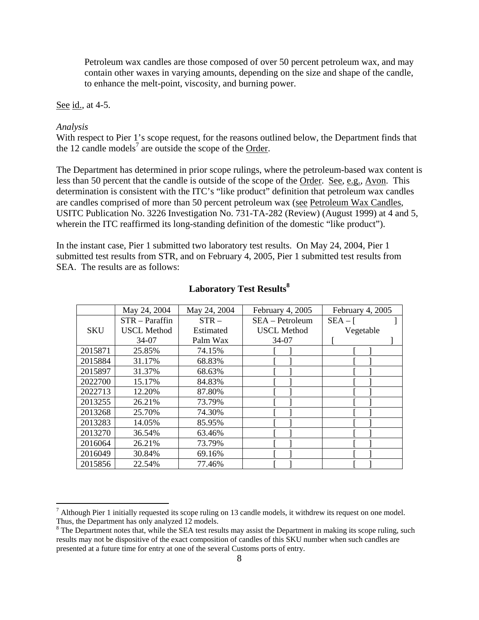Petroleum wax candles are those composed of over 50 percent petroleum wax, and may contain other waxes in varying amounts, depending on the size and shape of the candle, to enhance the melt-point, viscosity, and burning power.

## See id., at 4-5.

## *Analysis*

 $\overline{a}$ 

With respect to Pier 1's scope request, for the reasons outlined below, the Department finds that the 12 candle models<sup>7</sup> are outside the scope of the Order.

The Department has determined in prior scope rulings, where the petroleum-based wax content is less than 50 percent that the candle is outside of the scope of the Order. See, e.g., Avon. This determination is consistent with the ITC's "like product" definition that petroleum wax candles are candles comprised of more than 50 percent petroleum wax (see Petroleum Wax Candles, USITC Publication No. 3226 Investigation No. 731-TA-282 (Review) (August 1999) at 4 and 5, wherein the ITC reaffirmed its long-standing definition of the domestic "like product").

In the instant case, Pier 1 submitted two laboratory test results. On May 24, 2004, Pier 1 submitted test results from STR, and on February 4, 2005, Pier 1 submitted test results from SEA. The results are as follows:

|            | May 24, 2004       | May 24, 2004 | February 4, 2005   | February 4, 2005 |
|------------|--------------------|--------------|--------------------|------------------|
|            | $STR - Param$      | $STR -$      | $SEA - Petroleum$  | $SEA -$ [        |
| <b>SKU</b> | <b>USCL Method</b> | Estimated    | <b>USCL Method</b> | Vegetable        |
|            | 34-07              | Palm Wax     | 34-07              |                  |
| 2015871    | 25.85%             | 74.15%       |                    |                  |
| 2015884    | 31.17%             | 68.83%       |                    |                  |
| 2015897    | 31.37%             | 68.63%       |                    |                  |
| 2022700    | 15.17%             | 84.83%       |                    |                  |
| 2022713    | 12.20%             | 87.80%       |                    |                  |
| 2013255    | 26.21%             | 73.79%       |                    |                  |
| 2013268    | 25.70%             | 74.30%       |                    |                  |
| 2013283    | 14.05%             | 85.95%       |                    |                  |
| 2013270    | 36.54%             | 63.46%       |                    |                  |
| 2016064    | 26.21%             | 73.79%       |                    |                  |
| 2016049    | 30.84%             | 69.16%       |                    |                  |
| 2015856    | 22.54%             | 77.46%       |                    |                  |

# **Laboratory Test Results<sup>8</sup>**

 $<sup>7</sup>$  Although Pier 1 initially requested its scope ruling on 13 candle models, it withdrew its request on one model.</sup> Thus, the Department has only analyzed 12 models.

<sup>&</sup>lt;sup>8</sup> The Department notes that, while the SEA test results may assist the Department in making its scope ruling, such results may not be dispositive of the exact composition of candles of this SKU number when such candles are presented at a future time for entry at one of the several Customs ports of entry.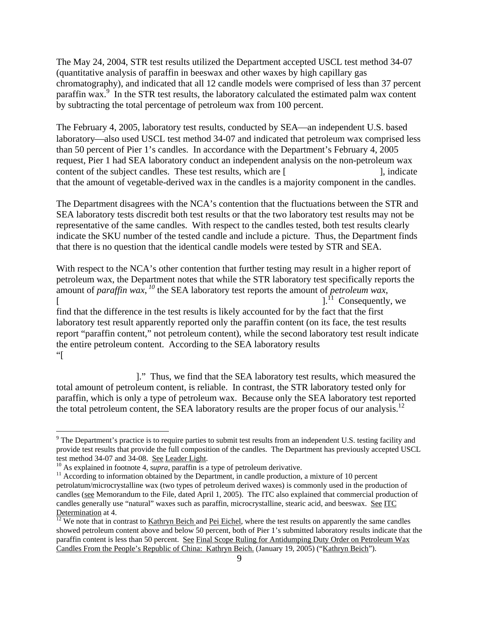The May 24, 2004, STR test results utilized the Department accepted USCL test method 34-07 (quantitative analysis of paraffin in beeswax and other waxes by high capillary gas chromatography), and indicated that all 12 candle models were comprised of less than 37 percent paraffin wax.<sup>9</sup> In the STR test results, the laboratory calculated the estimated palm wax content by subtracting the total percentage of petroleum wax from 100 percent.

The February 4, 2005, laboratory test results, conducted by SEA—an independent U.S. based laboratory—also used USCL test method 34-07 and indicated that petroleum wax comprised less than 50 percent of Pier 1's candles. In accordance with the Department's February 4, 2005 request, Pier 1 had SEA laboratory conduct an independent analysis on the non-petroleum wax content of the subject candles. These test results, which are [\*\*\*\*\*\*\*\*\*\*\*\*\*\*\*\*\*\*\*\*], indicate that the amount of vegetable-derived wax in the candles is a majority component in the candles.

The Department disagrees with the NCA's contention that the fluctuations between the STR and SEA laboratory tests discredit both test results or that the two laboratory test results may not be representative of the same candles. With respect to the candles tested, both test results clearly indicate the SKU number of the tested candle and include a picture. Thus, the Department finds that there is no question that the identical candle models were tested by STR and SEA.

With respect to the NCA's other contention that further testing may result in a higher report of petroleum wax, the Department notes that while the STR laboratory test specifically reports the amount of *paraffin wax*, *<sup>10</sup>* the SEA laboratory test reports the amount of *petroleum wax*,  $\lceil$  [  $\lceil$   $\lceil$   $\lceil$   $\lceil$   $\lceil$   $\lceil$   $\lceil$   $\lceil$   $\lceil$   $\lceil$   $\lceil$   $\lceil$   $\lceil$   $\lceil$   $\lceil$   $\lceil$   $\lceil$   $\lceil$   $\lceil$   $\lceil$   $\lceil$   $\lceil$   $\lceil$   $\lceil$   $\lceil$   $\lceil$   $\lceil$   $\lceil$   $\lceil$   $\lceil$   $\lceil$   $\lceil$   $\lceil$   $\lceil$   $\lceil$   $\l$ find that the difference in the test results is likely accounted for by the fact that the first laboratory test result apparently reported only the paraffin content (on its face, the test results report "paraffin content," not petroleum content), while the second laboratory test result indicate the entire petroleum content. According to the SEA laboratory results  $\mathbb{Z}^*$ 

 $\mathbb{R}^*$ ." Thus, we find that the SEA laboratory test results, which measured the total amount of petroleum content, is reliable. In contrast, the STR laboratory tested only for paraffin, which is only a type of petroleum wax. Because only the SEA laboratory test reported the total petroleum content, the SEA laboratory results are the proper focus of our analysis.<sup>12</sup>

1

 $9$  The Department's practice is to require parties to submit test results from an independent U.S. testing facility and provide test results that provide the full composition of the candles. The Department has previously accepted USCL test method 34-07 and 34-08. <u>See Leader Light</u>.<br><sup>10</sup> As explained in footnote 4, *supra*, paraffin is a type of petroleum derivative.<br><sup>11</sup> According to information obtained by the Department, in candle production, a mixt

petrolatum/microcrystalline wax (two types of petroleum derived waxes) is commonly used in the production of candles (see Memorandum to the File, dated April 1, 2005). The ITC also explained that commercial production of candles generally use "natural" waxes such as paraffin, microcrystalline, stearic acid, and beeswax. See ITC Determination at 4.  $\frac{12}{12}$  We note that in contrast to Kathryn Beich and Pei Eichel, where the test results on apparently the same candles

showed petroleum content above and below 50 percent, both of Pier 1's submitted laboratory results indicate that the paraffin content is less than 50 percent. See Final Scope Ruling for Antidumping Duty Order on Petroleum Wax Candles From the People's Republic of China: Kathryn Beich. (January 19, 2005) ("Kathryn Beich").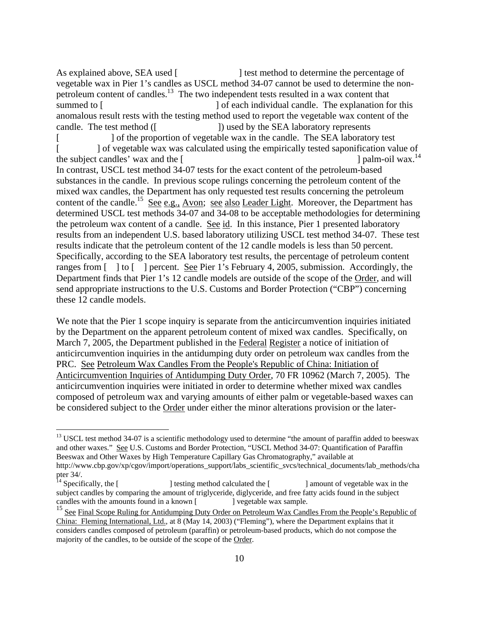As explained above, SEA used [\*\*\*\*\*\*\*\*\*\*\*\*\*] test method to determine the percentage of vegetable wax in Pier 1's candles as USCL method 34-07 cannot be used to determine the nonpetroleum content of candles.<sup>13</sup> The two independent tests resulted in a wax content that summed to [\*\*\*\*\*\*\*\*\*\*\*\*\*\*\*\*\*\*\*\*\*\*\*\*] of each individual candle. The explanation for this anomalous result rests with the testing method used to report the vegetable wax content of the candle. The test method ([\*\*\*\*\*\*\*\*\*\*\*\*\*]) used by the SEA laboratory represents [\*\*\*\*\*\*\*\*\*\*\*] of the proportion of vegetable wax in the candle. The SEA laboratory test ] of vegetable wax was calculated using the empirically tested saponification value of candles' wax and the [  $\frac{1 \text{ palm}-oil}$  wax.<sup>14</sup> the subject candles' wax and the  $\lceil$ In contrast, USCL test method 34-07 tests for the exact content of the petroleum-based substances in the candle. In previous scope rulings concerning the petroleum content of the mixed wax candles, the Department has only requested test results concerning the petroleum content of the candle.<sup>15</sup> See e.g., Avon; see also Leader Light. Moreover, the Department has determined USCL test methods 34-07 and 34-08 to be acceptable methodologies for determining the petroleum wax content of a candle. See id. In this instance, Pier 1 presented laboratory results from an independent U.S. based laboratory utilizing USCL test method 34-07. These test results indicate that the petroleum content of the 12 candle models is less than 50 percent. Specifically, according to the SEA laboratory test results, the percentage of petroleum content ranges from  $\lceil \cdot \rceil$  to  $\lceil \cdot \rceil$  percent. See Pier 1's February 4, 2005, submission. Accordingly, the Department finds that Pier 1's 12 candle models are outside of the scope of the Order, and will send appropriate instructions to the U.S. Customs and Border Protection ("CBP") concerning these 12 candle models.

We note that the Pier 1 scope inquiry is separate from the anticircumvention inquiries initiated by the Department on the apparent petroleum content of mixed wax candles. Specifically, on March 7, 2005, the Department published in the Federal Register a notice of initiation of anticircumvention inquiries in the antidumping duty order on petroleum wax candles from the PRC. See Petroleum Wax Candles From the People's Republic of China: Initiation of Anticircumvention Inquiries of Antidumping Duty Order, 70 FR 10962 (March 7, 2005). The anticircumvention inquiries were initiated in order to determine whether mixed wax candles composed of petroleum wax and varying amounts of either palm or vegetable-based waxes can be considered subject to the Order under either the minor alterations provision or the later-

 $\overline{a}$ 

<sup>&</sup>lt;sup>13</sup> USCL test method 34-07 is a scientific methodology used to determine "the amount of paraffin added to beeswax and other waxes." See U.S. Customs and Border Protection, "USCL Method 34-07: Quantification of Paraffin Beeswax and Other Waxes by High Temperature Capillary Gas Chromatography," available at http://www.cbp.gov/xp/cgov/import/operations\_support/labs\_scientific\_svcs/technical\_documents/lab\_methods/cha pter 34/.<br> $^{14}$  Specifically, the [

<sup>1</sup> testing method calculated the [\*\*\*\*\*\*\*\*\*\*\*\*\*\*] amount of vegetable wax in the subject candles by comparing the amount of triglyceride, diglyceride, and free fatty acids found in the subject candles with the amounts found in a known [\*\*\*\*\*\*\*\*\*\*\*\*] vegetable wax sample.

See Final Scope Ruling for Antidumping Duty Order on Petroleum Wax Candles From the People's Republic of China: Fleming International, Ltd., at 8 (May 14, 2003) ("Fleming"), where the Department explains that it considers candles composed of petroleum (paraffin) or petroleum-based products, which do not compose the majority of the candles, to be outside of the scope of the Order.